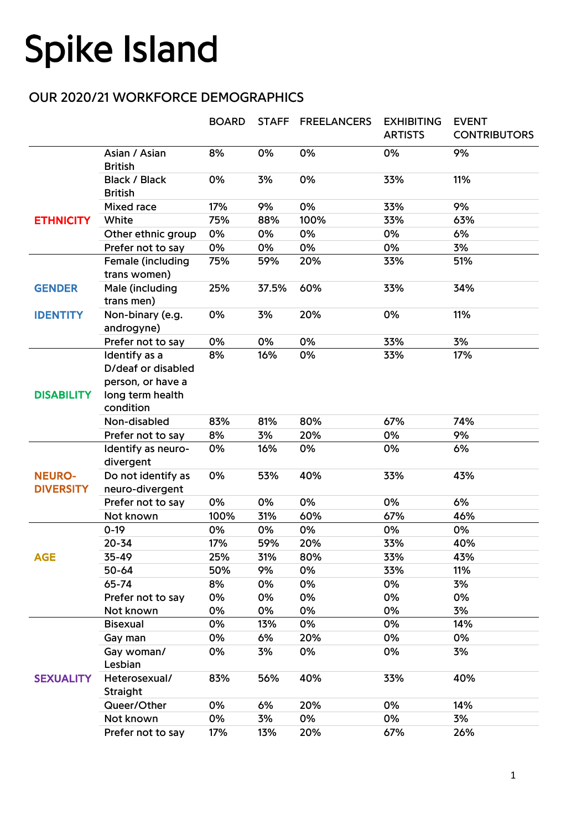## **Spike Island**

## OUR 2020/21 WORKFORCE DEMOGRAPHICS

|                                   |                                                                                           | <b>BOARD</b> | <b>STAFF</b> | <b>FREELANCERS</b> | <b>EXHIBITING</b><br><b>ARTISTS</b> | <b>EVENT</b><br><b>CONTRIBUTORS</b> |
|-----------------------------------|-------------------------------------------------------------------------------------------|--------------|--------------|--------------------|-------------------------------------|-------------------------------------|
|                                   | Asian / Asian<br><b>British</b>                                                           | 8%           | 0%           | 0%                 | 0%                                  | 9%                                  |
|                                   | <b>Black / Black</b><br><b>British</b>                                                    | 0%           | 3%           | 0%                 | 33%                                 | 11%                                 |
| <b>ETHNICITY</b>                  | Mixed race                                                                                | 17%          | 9%           | 0%                 | 33%                                 | 9%                                  |
|                                   | White                                                                                     | 75%          | 88%          | 100%               | 33%                                 | 63%                                 |
|                                   | Other ethnic group                                                                        | 0%           | 0%           | 0%                 | 0%                                  | 6%                                  |
|                                   | Prefer not to say                                                                         | 0%           | 0%           | 0%                 | 0%                                  | 3%                                  |
|                                   | Female (including<br>trans women)                                                         | 75%          | 59%          | 20%                | 33%                                 | 51%                                 |
| <b>GENDER</b>                     | Male (including<br>trans men)                                                             | 25%          | 37.5%        | 60%                | 33%                                 | 34%                                 |
| <b>IDENTITY</b>                   | Non-binary (e.g.<br>androgyne)                                                            | 0%           | 3%           | 20%                | 0%                                  | 11%                                 |
|                                   | Prefer not to say                                                                         | 0%           | 0%           | 0%                 | 33%                                 | 3%                                  |
| <b>DISABILITY</b>                 | Identify as a<br>D/deaf or disabled<br>person, or have a<br>long term health<br>condition | 8%           | 16%          | 0%                 | 33%                                 | 17%                                 |
|                                   | Non-disabled                                                                              | 83%          | 81%          | 80%                | 67%                                 | 74%                                 |
|                                   | Prefer not to say                                                                         | 8%           | 3%           | 20%                | 0%                                  | 9%                                  |
| <b>NEURO-</b><br><b>DIVERSITY</b> | Identify as neuro-<br>divergent                                                           | 0%           | 16%          | 0%                 | 0%                                  | 6%                                  |
|                                   | Do not identify as<br>neuro-divergent                                                     | 0%           | 53%          | 40%                | 33%                                 | 43%                                 |
|                                   | Prefer not to say                                                                         | 0%           | 0%           | 0%                 | 0%                                  | 6%                                  |
|                                   | Not known                                                                                 | 100%         | 31%          | 60%                | 67%                                 | 46%                                 |
| <b>AGE</b>                        | $0-19$                                                                                    | 0%           | 0%           | 0%                 | 0%                                  | 0%                                  |
|                                   | $20 - 34$                                                                                 | 17%          | 59%          | 20%                | 33%                                 | 40%                                 |
|                                   | 35-49                                                                                     | 25%          | 31%          | 80%                | 33%                                 | 43%                                 |
|                                   | 50-64                                                                                     | 50%          | 9%           | 0%                 | 33%                                 | 11%                                 |
|                                   | 65-74                                                                                     | 8%           | 0%           | 0%                 | 0%                                  | 3%                                  |
|                                   | Prefer not to say                                                                         | 0%           | 0%           | 0%                 | 0%                                  | 0%                                  |
|                                   | Not known                                                                                 | 0%           | 0%           | 0%                 | 0%                                  | 3%                                  |
| <b>SEXUALITY</b>                  | <b>Bisexual</b>                                                                           | 0%           | 13%          | 0%                 | 0%                                  | 14%                                 |
|                                   | Gay man                                                                                   | 0%           | 6%           | 20%                | 0%                                  | 0%                                  |
|                                   | Gay woman/<br>Lesbian                                                                     | 0%           | 3%           | 0%                 | 0%                                  | 3%                                  |
|                                   | Heterosexual/<br>Straight                                                                 | 83%          | 56%          | 40%                | 33%                                 | 40%                                 |
|                                   | Queer/Other                                                                               | 0%           | 6%           | 20%                | 0%                                  | 14%                                 |
|                                   | Not known                                                                                 | 0%           | 3%           | 0%                 | 0%                                  | 3%                                  |
|                                   | Prefer not to say                                                                         | 17%          | 13%          | 20%                | 67%                                 | 26%                                 |